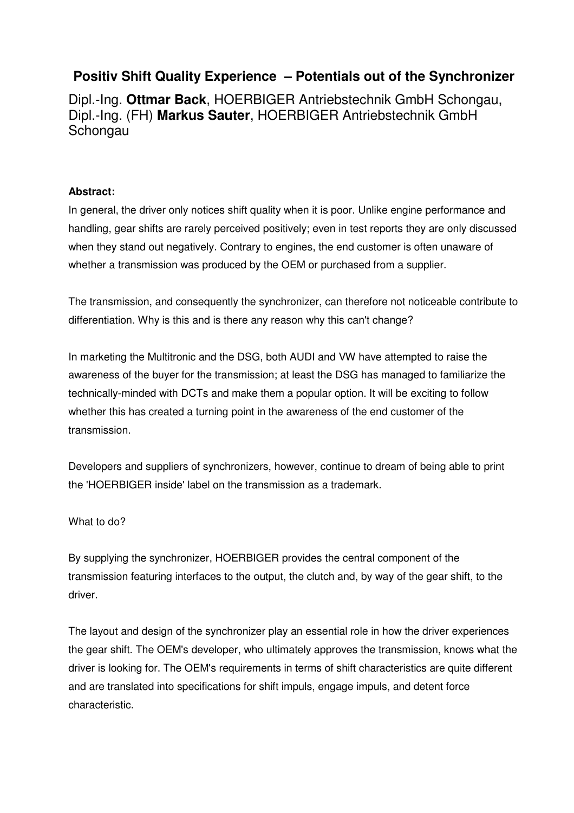# **Positiv Shift Quality Experience – Potentials out of the Synchronizer**

Dipl.-Ing. **Ottmar Back**, HOERBIGER Antriebstechnik GmbH Schongau, Dipl.-Ing. (FH) **Markus Sauter**, HOERBIGER Antriebstechnik GmbH Schongau

#### **Abstract:**

In general, the driver only notices shift quality when it is poor. Unlike engine performance and handling, gear shifts are rarely perceived positively; even in test reports they are only discussed when they stand out negatively. Contrary to engines, the end customer is often unaware of whether a transmission was produced by the OEM or purchased from a supplier.

The transmission, and consequently the synchronizer, can therefore not noticeable contribute to differentiation. Why is this and is there any reason why this can't change?

In marketing the Multitronic and the DSG, both AUDI and VW have attempted to raise the awareness of the buyer for the transmission; at least the DSG has managed to familiarize the technically-minded with DCTs and make them a popular option. It will be exciting to follow whether this has created a turning point in the awareness of the end customer of the transmission.

Developers and suppliers of synchronizers, however, continue to dream of being able to print the 'HOERBIGER inside' label on the transmission as a trademark.

What to do?

By supplying the synchronizer, HOERBIGER provides the central component of the transmission featuring interfaces to the output, the clutch and, by way of the gear shift, to the driver.

The layout and design of the synchronizer play an essential role in how the driver experiences the gear shift. The OEM's developer, who ultimately approves the transmission, knows what the driver is looking for. The OEM's requirements in terms of shift characteristics are quite different and are translated into specifications for shift impuls, engage impuls, and detent force characteristic.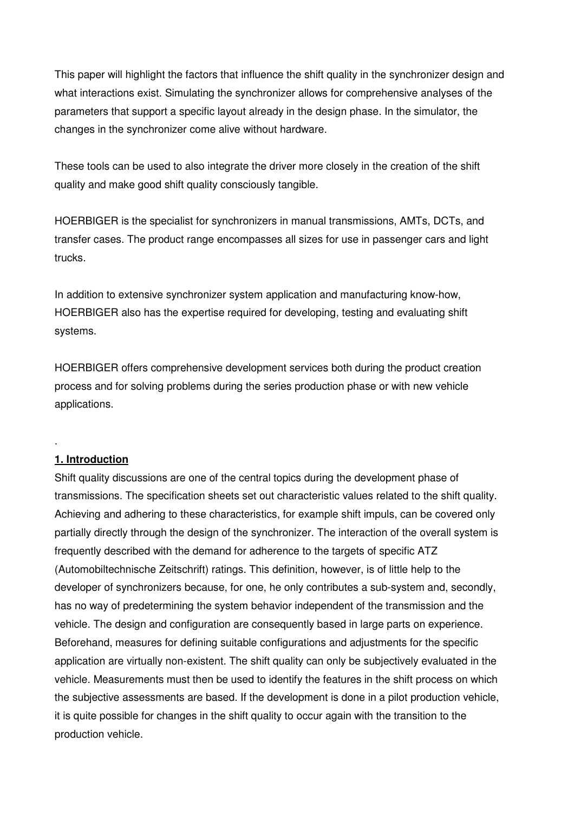This paper will highlight the factors that influence the shift quality in the synchronizer design and what interactions exist. Simulating the synchronizer allows for comprehensive analyses of the parameters that support a specific layout already in the design phase. In the simulator, the changes in the synchronizer come alive without hardware.

These tools can be used to also integrate the driver more closely in the creation of the shift quality and make good shift quality consciously tangible.

HOERBIGER is the specialist for synchronizers in manual transmissions, AMTs, DCTs, and transfer cases. The product range encompasses all sizes for use in passenger cars and light trucks.

In addition to extensive synchronizer system application and manufacturing know-how, HOERBIGER also has the expertise required for developing, testing and evaluating shift systems.

HOERBIGER offers comprehensive development services both during the product creation process and for solving problems during the series production phase or with new vehicle applications.

#### **1. Introduction**

.

Shift quality discussions are one of the central topics during the development phase of transmissions. The specification sheets set out characteristic values related to the shift quality. Achieving and adhering to these characteristics, for example shift impuls, can be covered only partially directly through the design of the synchronizer. The interaction of the overall system is frequently described with the demand for adherence to the targets of specific ATZ (Automobiltechnische Zeitschrift) ratings. This definition, however, is of little help to the developer of synchronizers because, for one, he only contributes a sub-system and, secondly, has no way of predetermining the system behavior independent of the transmission and the vehicle. The design and configuration are consequently based in large parts on experience. Beforehand, measures for defining suitable configurations and adjustments for the specific application are virtually non-existent. The shift quality can only be subjectively evaluated in the vehicle. Measurements must then be used to identify the features in the shift process on which the subjective assessments are based. If the development is done in a pilot production vehicle, it is quite possible for changes in the shift quality to occur again with the transition to the production vehicle.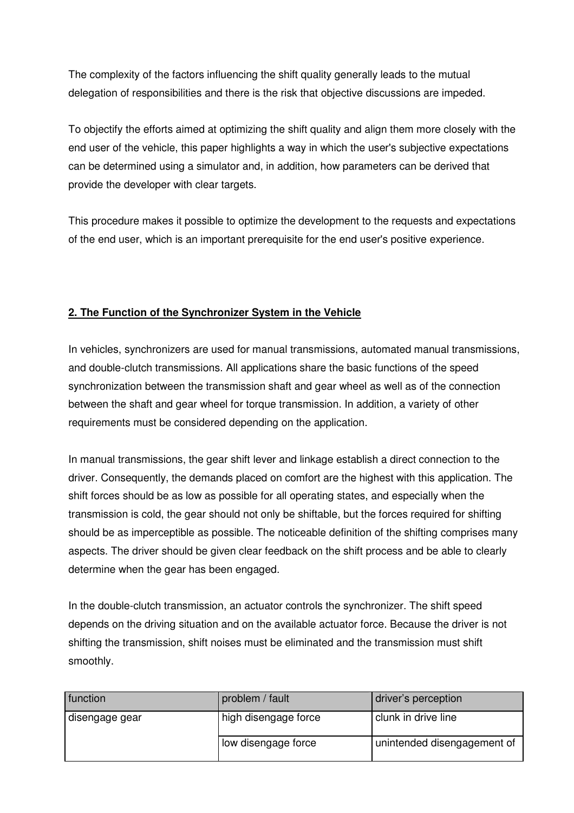The complexity of the factors influencing the shift quality generally leads to the mutual delegation of responsibilities and there is the risk that objective discussions are impeded.

To objectify the efforts aimed at optimizing the shift quality and align them more closely with the end user of the vehicle, this paper highlights a way in which the user's subjective expectations can be determined using a simulator and, in addition, how parameters can be derived that provide the developer with clear targets.

This procedure makes it possible to optimize the development to the requests and expectations of the end user, which is an important prerequisite for the end user's positive experience.

## **2. The Function of the Synchronizer System in the Vehicle**

In vehicles, synchronizers are used for manual transmissions, automated manual transmissions, and double-clutch transmissions. All applications share the basic functions of the speed synchronization between the transmission shaft and gear wheel as well as of the connection between the shaft and gear wheel for torque transmission. In addition, a variety of other requirements must be considered depending on the application.

In manual transmissions, the gear shift lever and linkage establish a direct connection to the driver. Consequently, the demands placed on comfort are the highest with this application. The shift forces should be as low as possible for all operating states, and especially when the transmission is cold, the gear should not only be shiftable, but the forces required for shifting should be as imperceptible as possible. The noticeable definition of the shifting comprises many aspects. The driver should be given clear feedback on the shift process and be able to clearly determine when the gear has been engaged.

In the double-clutch transmission, an actuator controls the synchronizer. The shift speed depends on the driving situation and on the available actuator force. Because the driver is not shifting the transmission, shift noises must be eliminated and the transmission must shift smoothly.

| function       | problem / fault      | driver's perception         |
|----------------|----------------------|-----------------------------|
| disengage gear | high disengage force | clunk in drive line         |
|                | low disengage force  | unintended disengagement of |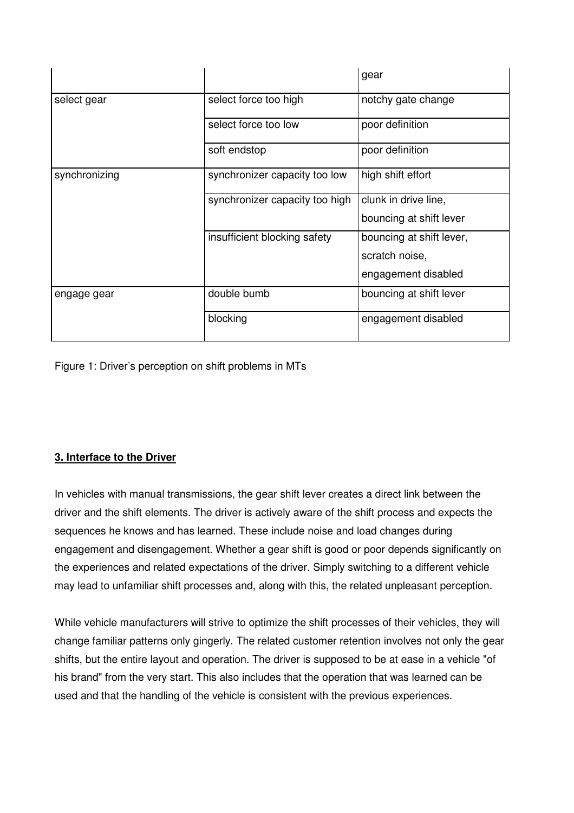|               |                                | gear                     |
|---------------|--------------------------------|--------------------------|
| select gear   | select force too high          | notchy gate change       |
|               | select force too low           | poor definition          |
|               | soft endstop                   | poor definition          |
| synchronizing | synchronizer capacity too low  | high shift effort        |
|               | synchronizer capacity too high | clunk in drive line,     |
|               |                                | bouncing at shift lever  |
|               | insufficient blocking safety   | bouncing at shift lever, |
|               |                                | scratch noise,           |
|               |                                | engagement disabled      |
| engage gear   | double bumb                    | bouncing at shift lever  |
|               | blocking                       | engagement disabled      |

Figure 1: Driver's perception on shift problems in MTs

### **3. Interface to the Driver**

In vehicles with manual transmissions, the gear shift lever creates a direct link between the driver and the shift elements. The driver is actively aware of the shift process and expects the sequences he knows and has learned. These include noise and load changes during engagement and disengagement. Whether a gear shift is good or poor depends significantly on the experiences and related expectations of the driver. Simply switching to a different vehicle may lead to unfamiliar shift processes and, along with this, the related unpleasant perception.

While vehicle manufacturers will strive to optimize the shift processes of their vehicles, they will change familiar patterns only gingerly. The related customer retention involves not only the gear shifts, but the entire layout and operation. The driver is supposed to be at ease in a vehicle "of his brand" from the very start. This also includes that the operation that was learned can be used and that the handling of the vehicle is consistent with the previous experiences.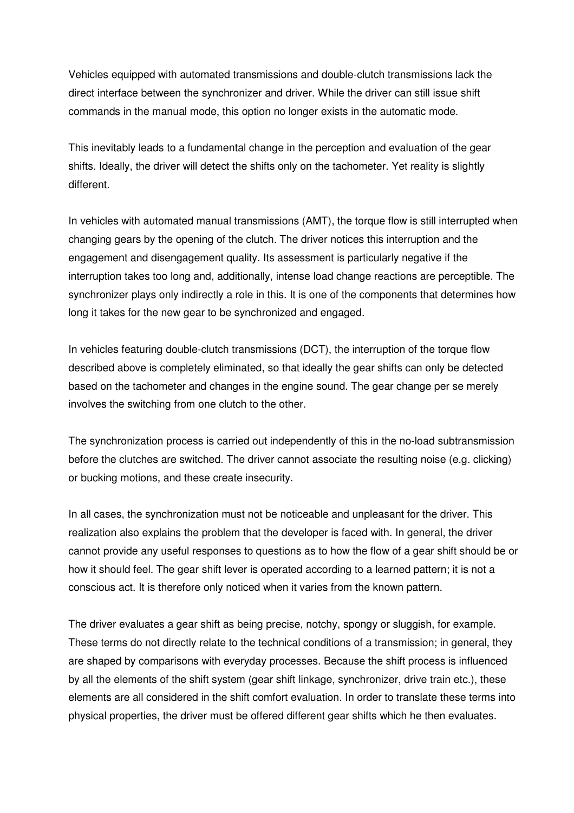Vehicles equipped with automated transmissions and double-clutch transmissions lack the direct interface between the synchronizer and driver. While the driver can still issue shift commands in the manual mode, this option no longer exists in the automatic mode.

This inevitably leads to a fundamental change in the perception and evaluation of the gear shifts. Ideally, the driver will detect the shifts only on the tachometer. Yet reality is slightly different.

In vehicles with automated manual transmissions (AMT), the torque flow is still interrupted when changing gears by the opening of the clutch. The driver notices this interruption and the engagement and disengagement quality. Its assessment is particularly negative if the interruption takes too long and, additionally, intense load change reactions are perceptible. The synchronizer plays only indirectly a role in this. It is one of the components that determines how long it takes for the new gear to be synchronized and engaged.

In vehicles featuring double-clutch transmissions (DCT), the interruption of the torque flow described above is completely eliminated, so that ideally the gear shifts can only be detected based on the tachometer and changes in the engine sound. The gear change per se merely involves the switching from one clutch to the other.

The synchronization process is carried out independently of this in the no-load subtransmission before the clutches are switched. The driver cannot associate the resulting noise (e.g. clicking) or bucking motions, and these create insecurity.

In all cases, the synchronization must not be noticeable and unpleasant for the driver. This realization also explains the problem that the developer is faced with. In general, the driver cannot provide any useful responses to questions as to how the flow of a gear shift should be or how it should feel. The gear shift lever is operated according to a learned pattern; it is not a conscious act. It is therefore only noticed when it varies from the known pattern.

The driver evaluates a gear shift as being precise, notchy, spongy or sluggish, for example. These terms do not directly relate to the technical conditions of a transmission; in general, they are shaped by comparisons with everyday processes. Because the shift process is influenced by all the elements of the shift system (gear shift linkage, synchronizer, drive train etc.), these elements are all considered in the shift comfort evaluation. In order to translate these terms into physical properties, the driver must be offered different gear shifts which he then evaluates.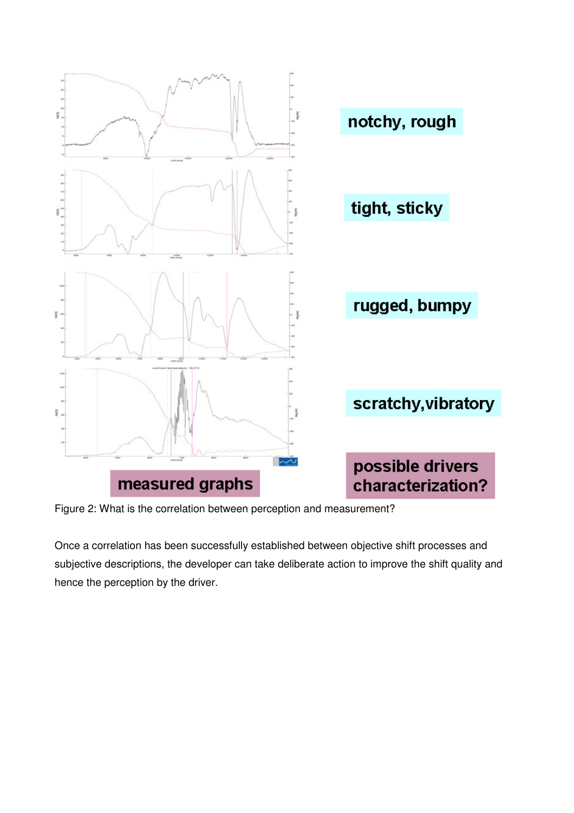

Figure 2: What is the correlation between perception and measurement?

Once a correlation has been successfully established between objective shift processes and subjective descriptions, the developer can take deliberate action to improve the shift quality and hence the perception by the driver.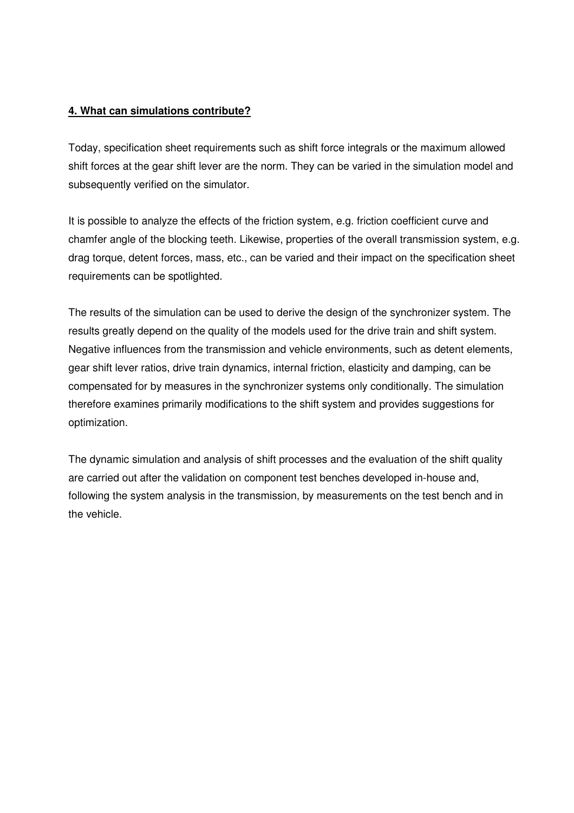#### **4. What can simulations contribute?**

Today, specification sheet requirements such as shift force integrals or the maximum allowed shift forces at the gear shift lever are the norm. They can be varied in the simulation model and subsequently verified on the simulator.

It is possible to analyze the effects of the friction system, e.g. friction coefficient curve and chamfer angle of the blocking teeth. Likewise, properties of the overall transmission system, e.g. drag torque, detent forces, mass, etc., can be varied and their impact on the specification sheet requirements can be spotlighted.

The results of the simulation can be used to derive the design of the synchronizer system. The results greatly depend on the quality of the models used for the drive train and shift system. Negative influences from the transmission and vehicle environments, such as detent elements, gear shift lever ratios, drive train dynamics, internal friction, elasticity and damping, can be compensated for by measures in the synchronizer systems only conditionally. The simulation therefore examines primarily modifications to the shift system and provides suggestions for optimization.

The dynamic simulation and analysis of shift processes and the evaluation of the shift quality are carried out after the validation on component test benches developed in-house and, following the system analysis in the transmission, by measurements on the test bench and in the vehicle.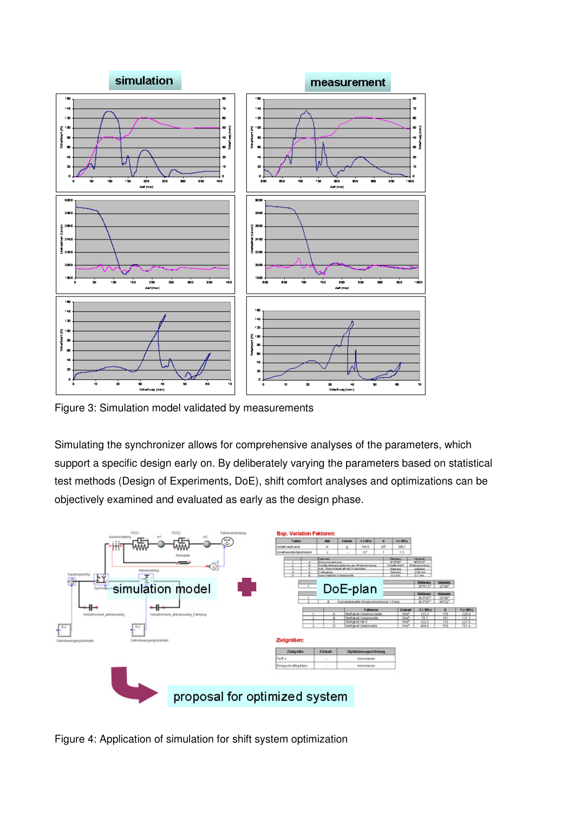

Figure 3: Simulation model validated by measurements

Simulating the synchronizer allows for comprehensive analyses of the parameters, which support a specific design early on. By deliberately varying the parameters based on statistical test methods (Design of Experiments, DoE), shift comfort analyses and optimizations can be objectively examined and evaluated as early as the design phase.



Figure 4: Application of simulation for shift system optimization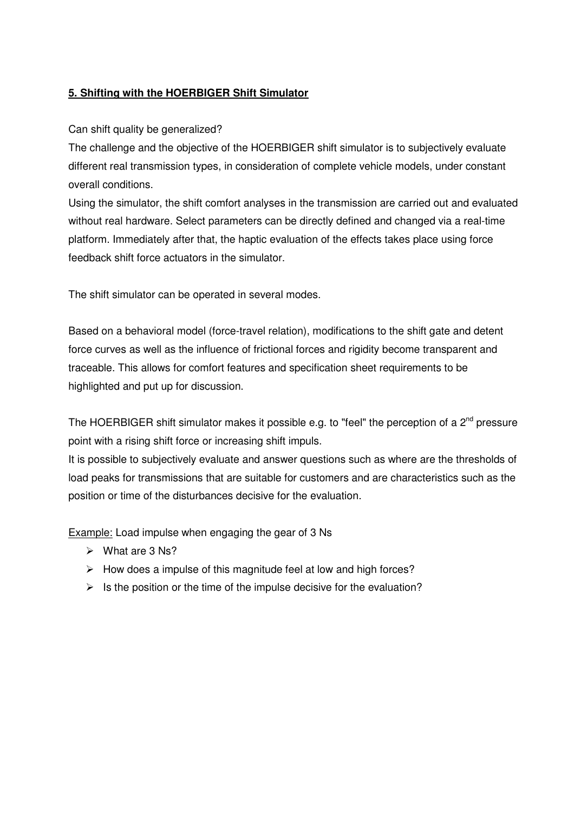### **5. Shifting with the HOERBIGER Shift Simulator**

#### Can shift quality be generalized?

The challenge and the objective of the HOERBIGER shift simulator is to subjectively evaluate different real transmission types, in consideration of complete vehicle models, under constant overall conditions.

Using the simulator, the shift comfort analyses in the transmission are carried out and evaluated without real hardware. Select parameters can be directly defined and changed via a real-time platform. Immediately after that, the haptic evaluation of the effects takes place using force feedback shift force actuators in the simulator.

The shift simulator can be operated in several modes.

Based on a behavioral model (force-travel relation), modifications to the shift gate and detent force curves as well as the influence of frictional forces and rigidity become transparent and traceable. This allows for comfort features and specification sheet requirements to be highlighted and put up for discussion.

The HOERBIGER shift simulator makes it possible e.g. to "feel" the perception of a  $2^{nd}$  pressure point with a rising shift force or increasing shift impuls.

It is possible to subjectively evaluate and answer questions such as where are the thresholds of load peaks for transmissions that are suitable for customers and are characteristics such as the position or time of the disturbances decisive for the evaluation.

Example: Load impulse when engaging the gear of 3 Ns

- $\triangleright$  What are 3 Ns?
- $\triangleright$  How does a impulse of this magnitude feel at low and high forces?
- $\triangleright$  Is the position or the time of the impulse decisive for the evaluation?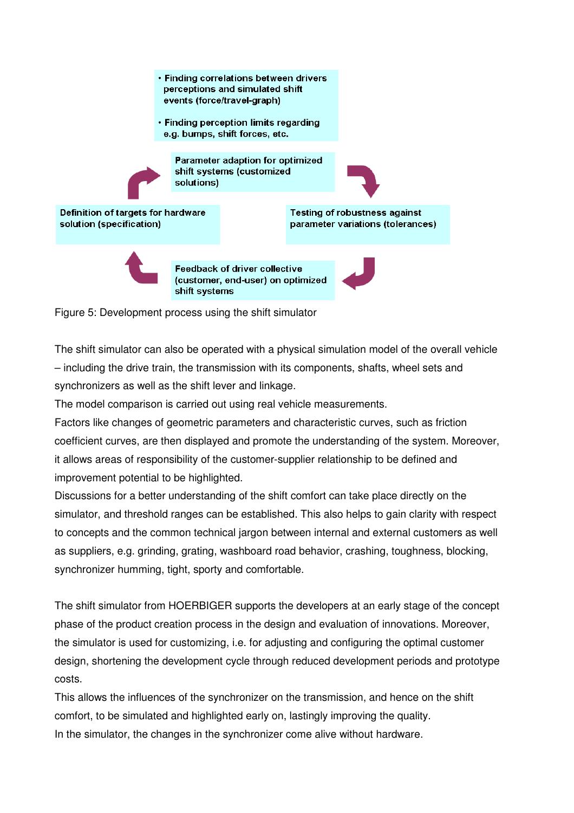

Figure 5: Development process using the shift simulator

The shift simulator can also be operated with a physical simulation model of the overall vehicle – including the drive train, the transmission with its components, shafts, wheel sets and synchronizers as well as the shift lever and linkage.

The model comparison is carried out using real vehicle measurements.

Factors like changes of geometric parameters and characteristic curves, such as friction coefficient curves, are then displayed and promote the understanding of the system. Moreover, it allows areas of responsibility of the customer-supplier relationship to be defined and improvement potential to be highlighted.

Discussions for a better understanding of the shift comfort can take place directly on the simulator, and threshold ranges can be established. This also helps to gain clarity with respect to concepts and the common technical jargon between internal and external customers as well as suppliers, e.g. grinding, grating, washboard road behavior, crashing, toughness, blocking, synchronizer humming, tight, sporty and comfortable.

The shift simulator from HOERBIGER supports the developers at an early stage of the concept phase of the product creation process in the design and evaluation of innovations. Moreover, the simulator is used for customizing, i.e. for adjusting and configuring the optimal customer design, shortening the development cycle through reduced development periods and prototype costs.

This allows the influences of the synchronizer on the transmission, and hence on the shift comfort, to be simulated and highlighted early on, lastingly improving the quality. In the simulator, the changes in the synchronizer come alive without hardware.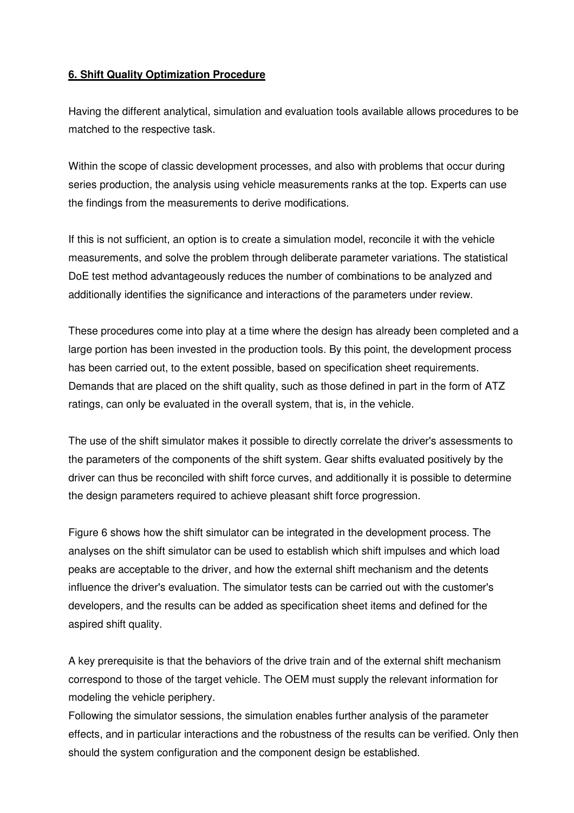#### **6. Shift Quality Optimization Procedure**

Having the different analytical, simulation and evaluation tools available allows procedures to be matched to the respective task.

Within the scope of classic development processes, and also with problems that occur during series production, the analysis using vehicle measurements ranks at the top. Experts can use the findings from the measurements to derive modifications.

If this is not sufficient, an option is to create a simulation model, reconcile it with the vehicle measurements, and solve the problem through deliberate parameter variations. The statistical DoE test method advantageously reduces the number of combinations to be analyzed and additionally identifies the significance and interactions of the parameters under review.

These procedures come into play at a time where the design has already been completed and a large portion has been invested in the production tools. By this point, the development process has been carried out, to the extent possible, based on specification sheet requirements. Demands that are placed on the shift quality, such as those defined in part in the form of ATZ ratings, can only be evaluated in the overall system, that is, in the vehicle.

The use of the shift simulator makes it possible to directly correlate the driver's assessments to the parameters of the components of the shift system. Gear shifts evaluated positively by the driver can thus be reconciled with shift force curves, and additionally it is possible to determine the design parameters required to achieve pleasant shift force progression.

Figure 6 shows how the shift simulator can be integrated in the development process. The analyses on the shift simulator can be used to establish which shift impulses and which load peaks are acceptable to the driver, and how the external shift mechanism and the detents influence the driver's evaluation. The simulator tests can be carried out with the customer's developers, and the results can be added as specification sheet items and defined for the aspired shift quality.

A key prerequisite is that the behaviors of the drive train and of the external shift mechanism correspond to those of the target vehicle. The OEM must supply the relevant information for modeling the vehicle periphery.

Following the simulator sessions, the simulation enables further analysis of the parameter effects, and in particular interactions and the robustness of the results can be verified. Only then should the system configuration and the component design be established.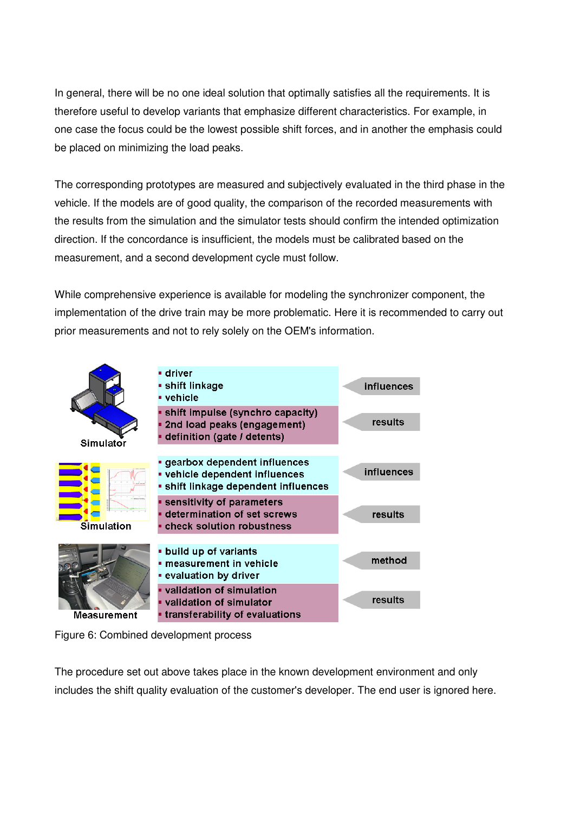In general, there will be no one ideal solution that optimally satisfies all the requirements. It is therefore useful to develop variants that emphasize different characteristics. For example, in one case the focus could be the lowest possible shift forces, and in another the emphasis could be placed on minimizing the load peaks.

The corresponding prototypes are measured and subjectively evaluated in the third phase in the vehicle. If the models are of good quality, the comparison of the recorded measurements with the results from the simulation and the simulator tests should confirm the intended optimization direction. If the concordance is insufficient, the models must be calibrated based on the measurement, and a second development cycle must follow.

While comprehensive experience is available for modeling the synchronizer component, the implementation of the drive train may be more problematic. Here it is recommended to carry out prior measurements and not to rely solely on the OEM's information.



Figure 6: Combined development process

The procedure set out above takes place in the known development environment and only includes the shift quality evaluation of the customer's developer. The end user is ignored here.